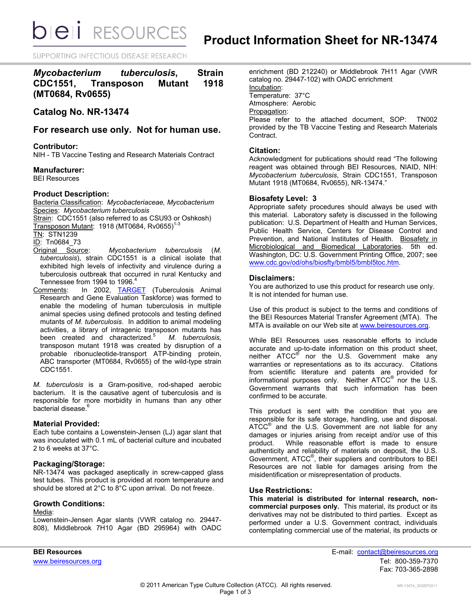**bieli** RESOURCES

SUPPORTING INFECTIOUS DISEASE RESEARCH

# *Mycobacterium tuberculosis***, Strain CDC1551, Transposon Mutant 1918 (MT0684, Rv0655)**

## **Catalog No. NR-13474**

## **For research use only. Not for human use.**

## **Contributor:**

NIH - TB Vaccine Testing and Research Materials Contract

#### **Manufacturer:**

BEI Resources

## **Product Description:**

Bacteria Classification: *Mycobacteriaceae, Mycobacterium* Species: *Mycobacterium tuberculosis* Strain: CDC1551 (also referred to as CSU93 or Oshkosh)

Transposon Mutant: 1918 (MT0684, Rv0655) 1-3

TN: STN1239

ID: Tn0684\_73

- Original Source: *Mycobacterium tuberculosis* (*M. tuberculosis*), strain CDC1551 is a clinical isolate that exhibited high levels of infectivity and virulence during a tuberculosis outbreak that occurred in rural Kentucky and Tennessee from 1994 to 1996.<sup>4</sup>
- Comments: In 2002, [TARGET](http://www.hopkinsmedicine.org/TARGET/) (Tuberculosis Animal Research and Gene Evaluation Taskforce) was formed to enable the modeling of human tuberculosis in multiple animal species using defined protocols and testing defined mutants of *M. tuberculosis*. In addition to animal modeling activities, a library of intragenic transposon mutants has been created and characterized.<sup>5</sup> *M. tuberculosis,* transposon mutant 1918 was created by disruption of a probable ribonucleotide-transport ATP-binding protein, ABC transporter (MT0684, Rv0655) of the wild-type strain CDC1551.

*M. tuberculosis* is a Gram-positive, rod-shaped aerobic bacterium. It is the causative agent of tuberculosis and is responsible for more morbidity in humans than any other bacterial disease.<sup>6</sup>

## **Material Provided:**

Each tube contains a Lowenstein-Jensen (LJ) agar slant that was inoculated with 0.1 mL of bacterial culture and incubated 2 to 6 weeks at 37°C.

## **Packaging/Storage:**

NR-13474 was packaged aseptically in screw-capped glass test tubes. This product is provided at room temperature and should be stored at 2°C to 8°C upon arrival. Do not freeze.

## **Growth Conditions:**

#### Media:

Lowenstein-Jensen Agar slants (VWR catalog no. 29447- 808), Middlebrook 7H10 Agar (BD 295964) with OADC enrichment (BD 212240) or Middlebrook 7H11 Agar (VWR catalog no. 29447-102) with OADC enrichment Incubation: Temperature: 37°C Atmosphere: Aerobic Propagation: Please refer to the attached document, SOP: TN002 provided by the TB Vaccine Testing and Research Materials Contract.

## **Citation:**

Acknowledgment for publications should read "The following reagent was obtained through BEI Resources, NIAID, NIH: *Mycobacterium tuberculosis*, Strain CDC1551, Transposon Mutant 1918 (MT0684, Rv0655), NR-13474."

## **Biosafety Level: 3**

Appropriate safety procedures should always be used with this material. Laboratory safety is discussed in the following publication: U.S. Department of Health and Human Services, Public Health Service, Centers for Disease Control and Prevention, and National Institutes of Health. Biosafety in Microbiological and Biomedical Laboratories. 5th ed. Washington, DC: U.S. Government Printing Office, 2007; see [www.cdc.gov/od/ohs/biosfty/bmbl5/bmbl5toc.htm.](http://www.cdc.gov/od/ohs/biosfty/bmbl5/bmbl5toc.htm)

## **Disclaimers:**

You are authorized to use this product for research use only. It is not intended for human use.

Use of this product is subject to the terms and conditions of the BEI Resources Material Transfer Agreement (MTA). The MTA is available on our Web site at [www.beiresources.org.](http://www.beiresources.org/)

While BEI Resources uses reasonable efforts to include accurate and up-to-date information on this product sheet, neither ATCC<sup>®</sup> nor the U.S. Government make any warranties or representations as to its accuracy. Citations from scientific literature and patents are provided for informational purposes only. Neither  $\tt ATCC^@$  nor the U.S. Government warrants that such information has been confirmed to be accurate.

This product is sent with the condition that you are responsible for its safe storage, handling, use and disposal. ATCC<sup>®</sup> and the U.S. Government are not liable for any damages or injuries arising from receipt and/or use of this product. While reasonable effort is made to ensure authenticity and reliability of materials on deposit, the U.S. Government, ATCC® , their suppliers and contributors to BEI Resources are not liable for damages arising from the misidentification or misrepresentation of products.

## **Use Restrictions:**

**This material is distributed for internal research, noncommercial purposes only.** This material, its product or its derivatives may not be distributed to third parties. Except as performed under a U.S. Government contract, individuals contemplating commercial use of the material, its products or

**BEI Resources** E-mail: [contact@beiresources.org](mailto:contact@beiresources.org) [www.beiresources.org](http://www.beiresources.org/)Tel: 800-359-7370 Fax: 703-365-2898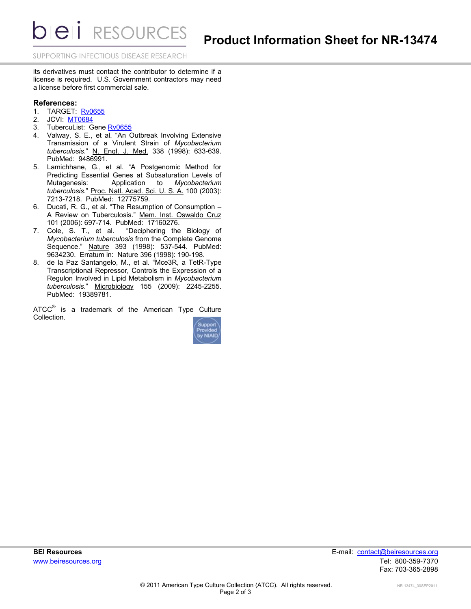**DIEII** RESOURCES

SUPPORTING INFECTIOUS DISEASE RESEARCH

its derivatives must contact the contributor to determine if a license is required. U.S. Government contractors may need a license before first commercial sale.

## **References:**

- 1. TARGET: [Rv0655](http://webhost.nts.jhu.edu/target/search.aspx?query=MT0684)
- 2. JCVI: [MT0684](http://cmr.jcvi.org/tigr-scripts/CMR/shared/GenePage.cgi?locus=MT0684)
- 3. TubercuList: Gene [Rv0655](http://tuberculist.epfl.ch/quicksearch.php?gene+name=rv0655)
- 4. Valway, S. E., et al. "An Outbreak Involving Extensive Transmission of a Virulent Strain of *Mycobacterium tuberculosis*." N. Engl. J. Med. 338 (1998): 633-639. PubMed: 9486991.
- 5. Lamichhane, G., et al. "A Postgenomic Method for Predicting Essential Genes at Subsaturation Levels of Mutagenesis: Application to *Mycobacterium tuberculosis*." Proc. Natl. Acad. Sci. U. S. A. 100 (2003): 7213-7218. PubMed: 12775759.
- 6. Ducati, R. G., et al. "The Resumption of Consumption A Review on Tuberculosis." Mem. Inst. Oswaldo Cruz 101 (2006): 697-714. PubMed: 17160276.
- 7. Cole, S. T., et al. "Deciphering the Biology of *Mycobacterium tuberculosis* from the Complete Genome Sequence." Nature 393 (1998): 537-544. PubMed: 9634230. Erratum in: Nature 396 (1998): 190-198.
- 8. de la Paz Santangelo, M., et al. "Mce3R, a TetR-Type Transcriptional Repressor, Controls the Expression of a Regulon Involved in Lipid Metabolism in *Mycobacterium tuberculosis*." Microbiology 155 (2009): 2245-2255. PubMed: 19389781.

ATCC $^{\circ}$  is a trademark of the American Type Culture Collection.